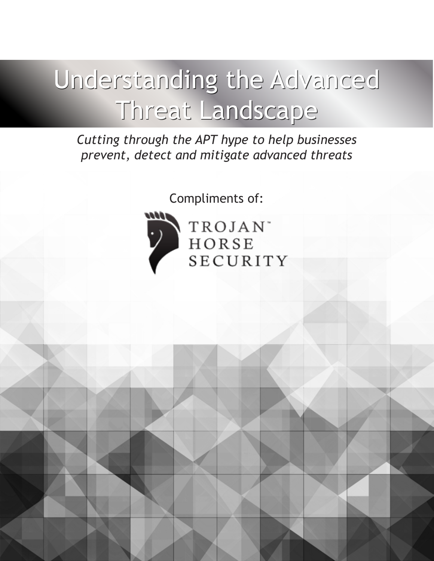# Understanding the Advanced Threat Landscape Threat Landscape

*Cutting through the APT hype to help businesses prevent, detect and mitigate advanced threats*

Compliments of:



TROJAN<sup>\*</sup> **HORSE** SECURITY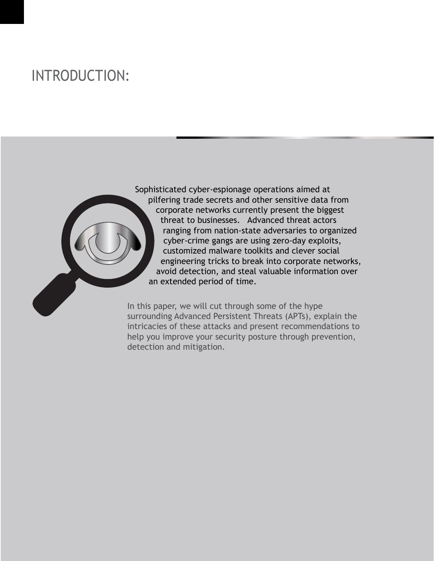# INTRODUCTION:

Sophisticated cyber-espionage operations aimed at pilfering trade secrets and other sensitive data from corporate networks currently present the biggest threat to businesses. Advanced threat actors ranging from nation-state adversaries to organized cyber-crime gangs are using zero-day exploits, customized malware toolkits and clever social engineering tricks to break into corporate networks, avoid detection, and steal valuable information over an extended period of time.

In this paper, we will cut through some of the hype surrounding Advanced Persistent Threats (APTs), explain the intricacies of these attacks and present recommendations to help you improve your security posture through prevention, detection and mitigation.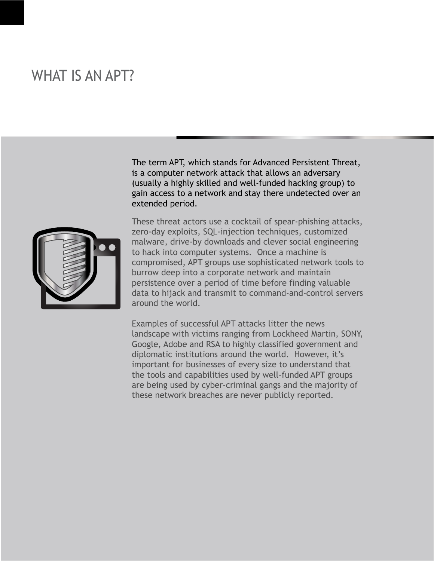#### WHAT IS AN APT?

The term APT, which stands for Advanced Persistent Threat, is a computer network attack that allows an adversary (usually a highly skilled and well-funded hacking group) to gain access to a network and stay there undetected over an extended period.



These threat actors use a cocktail of spear-phishing attacks, zero-day exploits, SQL-injection techniques, customized malware, drive-by downloads and clever social engineering to hack into computer systems. Once a machine is compromised, APT groups use sophisticated network tools to burrow deep into a corporate network and maintain persistence over a period of time before finding valuable data to hijack and transmit to command-and-control servers around the world.

Examples of successful APT attacks litter the news landscape with victims ranging from Lockheed Martin, SONY, Google, Adobe and RSA to highly classified government and diplomatic institutions around the world. However, it's important for businesses of every size to understand that the tools and capabilities used by well-funded APT groups are being used by cyber-criminal gangs and the majority of these network breaches are never publicly reported.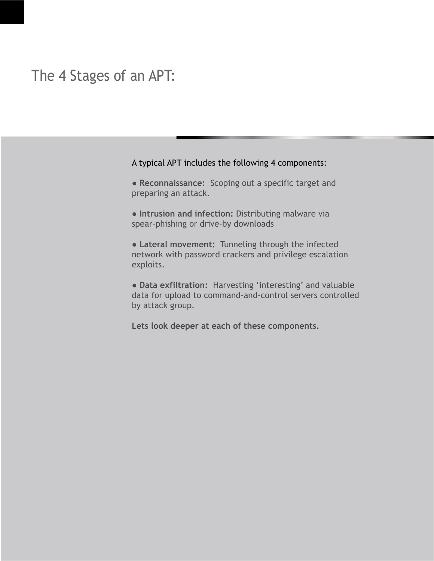#### The 4 Stages of an APT:

#### A typical APT includes the following 4 components:

- **Reconnaissance:** Scoping out a specific target and preparing an attack.
- **Intrusion and infection:** Distributing malware via spear-phishing or drive-by downloads
- **Lateral movement:** Tunneling through the infected network with password crackers and privilege escalation exploits.
- **Data exfiltration:** Harvesting 'interesting' and valuable data for upload to command-and-control servers controlled by attack group.
- **Lets look deeper at each of these components.**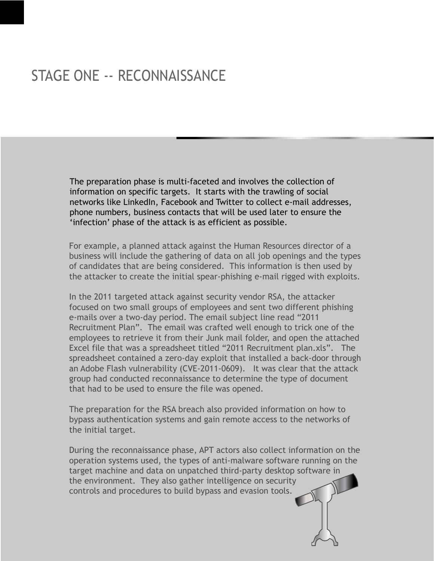# STAGE ONE -- RECONNAISSANCE

The preparation phase is multi-faceted and involves the collection of information on specific targets. It starts with the trawling of social networks like LinkedIn, Facebook and Twitter to collect e-mail addresses, phone numbers, business contacts that will be used later to ensure the 'infection' phase of the attack is as efficient as possible.

For example, a planned attack against the Human Resources director of a business will include the gathering of data on all job openings and the types of candidates that are being considered. This information is then used by the attacker to create the initial spear-phishing e-mail rigged with exploits.

In the 2011 targeted attack against security vendor RSA, the attacker focused on two small groups of employees and sent two different phishing e-mails over a two-day period. The email subject line read "2011 Recruitment Plan". The email was crafted well enough to trick one of the employees to retrieve it from their Junk mail folder, and open the attached Excel file that was a spreadsheet titled "2011 Recruitment plan.xls". The spreadsheet contained a zero-day exploit that installed a back-door through an Adobe Flash vulnerability (CVE-2011-0609). It was clear that the attack group had conducted reconnaissance to determine the type of document that had to be used to ensure the file was opened.

The preparation for the RSA breach also provided information on how to bypass authentication systems and gain remote access to the networks of the initial target.

During the reconnaissance phase, APT actors also collect information on the operation systems used, the types of anti-malware software running on the target machine and data on unpatched third-party desktop software in the environment. They also gather intelligence on security controls and procedures to build bypass and evasion tools.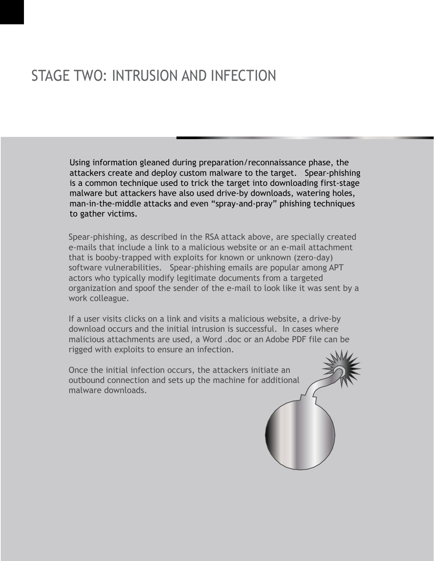# STAGE TWO: INTRUSION AND INFECTION

Using information gleaned during preparation/reconnaissance phase, the attackers create and deploy custom malware to the target. Spear-phishing is a common technique used to trick the target into downloading first-stage malware but attackers have also used drive-by downloads, watering holes, man-in-the-middle attacks and even "spray-and-pray" phishing techniques to gather victims.

Spear-phishing, as described in the RSA attack above, are specially created e-mails that include a link to a malicious website or an e-mail attachment that is booby-trapped with exploits for known or unknown (zero-day) software vulnerabilities. Spear-phishing emails are popular among APT actors who typically modify legitimate documents from a targeted organization and spoof the sender of the e-mail to look like it was sent by a work colleague.

If a user visits clicks on a link and visits a malicious website, a drive-by download occurs and the initial intrusion is successful. In cases where malicious attachments are used, a Word .doc or an Adobe PDF file can be rigged with exploits to ensure an infection.

Once the initial infection occurs, the attackers initiate an outbound connection and sets up the machine for additional malware downloads.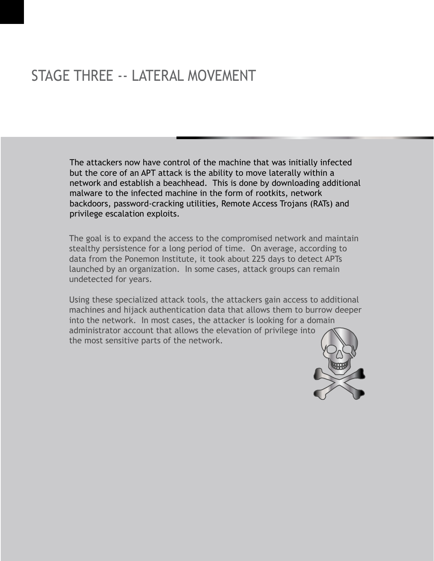# STAGE THREE -- LATERAL MOVEMENT

The attackers now have control of the machine that was initially infected but the core of an APT attack is the ability to move laterally within a network and establish a beachhead. This is done by downloading additional malware to the infected machine in the form of rootkits, network backdoors, password-cracking utilities, Remote Access Trojans (RATs) and privilege escalation exploits.

The goal is to expand the access to the compromised network and maintain stealthy persistence for a long period of time. On average, according to data from the Ponemon Institute, it took about 225 days to detect APTs launched by an organization. In some cases, attack groups can remain undetected for years.

Using these specialized attack tools, the attackers gain access to additional machines and hijack authentication data that allows them to burrow deeper into the network. In most cases, the attacker is looking for a domain administrator account that allows the elevation of privilege into the most sensitive parts of the network.

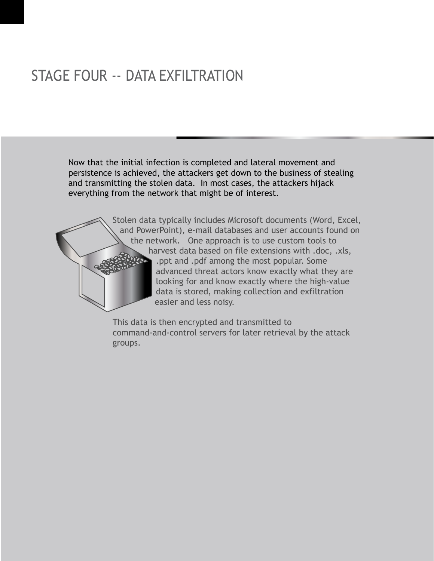# STAGE FOUR -- DATA EXFILTRATION

Now that the initial infection is completed and lateral movement and persistence is achieved, the attackers get down to the business of stealing and transmitting the stolen data. In most cases, the attackers hijack everything from the network that might be of interest.

> Stolen data typically includes Microsoft documents (Word, Excel, and PowerPoint), e-mail databases and user accounts found on the network. One approach is to use custom tools to harvest data based on file extensions with .doc, .xls, .ppt and .pdf among the most popular. Some advanced threat actors know exactly what they are looking for and know exactly where the high-value data is stored, making collection and exfiltration easier and less noisy.

This data is then encrypted and transmitted to command-and-control servers for later retrieval by the attack groups.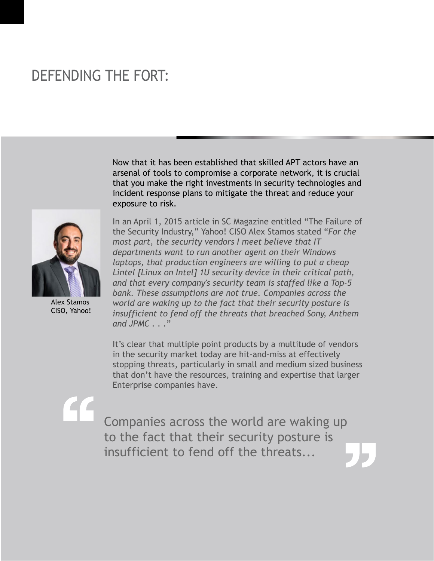# DEFENDING THE FORT:

Now that it has been established that skilled APT actors have an arsenal of tools to compromise a corporate network, it is crucial that you make the right investments in security technologies and incident response plans to mitigate the threat and reduce your exposure to risk.



Alex Stamos CISO, Yahoo!

In an April 1, 2015 article in SC Magazine entitled "The Failure of the Security Industry," Yahoo! CISO Alex Stamos stated "*For the most part, the security vendors I meet believe that IT departments want to run another agent on their Windows laptops, that production engineers are willing to put a cheap Lintel [Linux on Intel] 1U security device in their critical path, and that every company's security team is staffed like a Top-5 bank. These assumptions are not true. Companies across the world are waking up to the fact that their security posture is insufficient to fend off the threats that breached Sony, Anthem and JPMC . . .*"

It's clear that multiple point products by a multitude of vendors in the security market today are hit-and-miss at effectively stopping threats, particularly in small and medium sized business that don't have the resources, training and expertise that larger Enterprise companies have.

Companies across the world are waking up to the fact that their security posture is insufficient to fend off the threats...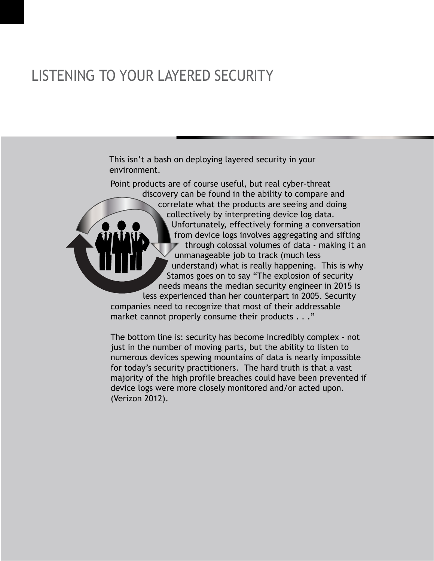# LISTENING TO YOUR LAYERED SECURITY

This isn't a bash on deploying layered security in your environment.

Point products are of course useful, but real cyber-threat discovery can be found in the ability to compare and correlate what the products are seeing and doing collectively by interpreting device log data. Unfortunately, effectively forming a conversation from device logs involves aggregating and sifting  $\triangledown$  through colossal volumes of data - making it an unmanageable job to track (much less understand) what is really happening. This is why Stamos goes on to say "The explosion of security needs means the median security engineer in 2015 is less experienced than her counterpart in 2005. Security companies need to recognize that most of their addressable market cannot properly consume their products . . ."

The bottom line is: security has become incredibly complex - not just in the number of moving parts, but the ability to listen to numerous devices spewing mountains of data is nearly impossible for today's security practitioners. The hard truth is that a vast majority of the high profile breaches could have been prevented if device logs were more closely monitored and/or acted upon. (Verizon 2012).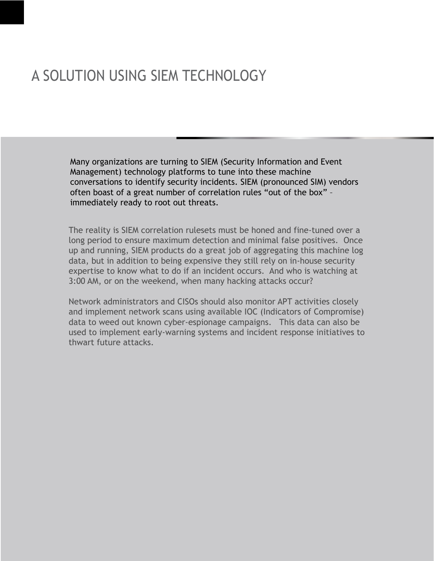# A SOLUTION USING SIEM TECHNOLOGY

Many organizations are turning to SIEM (Security Information and Event Management) technology platforms to tune into these machine conversations to identify security incidents. SIEM (pronounced SIM) vendors often boast of a great number of correlation rules "out of the box" – immediately ready to root out threats.

The reality is SIEM correlation rulesets must be honed and fine-tuned over a long period to ensure maximum detection and minimal false positives. Once up and running, SIEM products do a great job of aggregating this machine log data, but in addition to being expensive they still rely on in-house security expertise to know what to do if an incident occurs. And who is watching at 3:00 AM, or on the weekend, when many hacking attacks occur?

Network administrators and CISOs should also monitor APT activities closely and implement network scans using available IOC (Indicators of Compromise) data to weed out known cyber-espionage campaigns. This data can also be used to implement early-warning systems and incident response initiatives to thwart future attacks.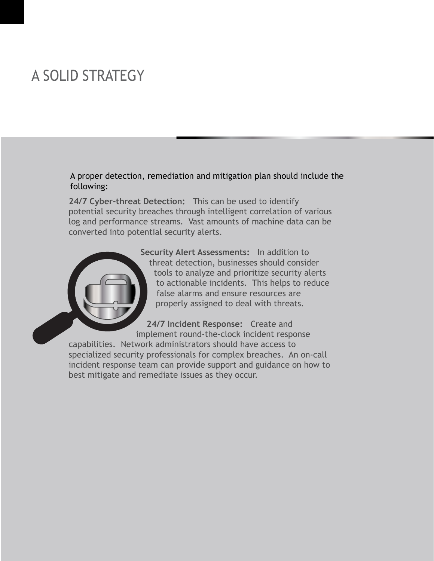# A SOLID STRATEGY

A proper detection, remediation and mitigation plan should include the following:

**24/7 Cyber-threat Detection:** This can be used to identify potential security breaches through intelligent correlation of various log and performance streams. Vast amounts of machine data can be converted into potential security alerts.



**24/7 Incident Response:** Create and implement round-the-clock incident response capabilities. Network administrators should have access to specialized security professionals for complex breaches. An on-call incident response team can provide support and guidance on how to best mitigate and remediate issues as they occur.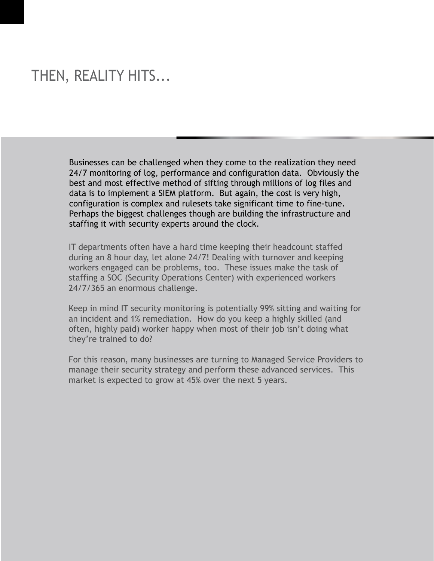#### THEN, REALITY HITS...

Businesses can be challenged when they come to the realization they need 24/7 monitoring of log, performance and configuration data. Obviously the best and most effective method of sifting through millions of log files and data is to implement a SIEM platform. But again, the cost is very high, configuration is complex and rulesets take significant time to fine-tune. Perhaps the biggest challenges though are building the infrastructure and staffing it with security experts around the clock.

IT departments often have a hard time keeping their headcount staffed during an 8 hour day, let alone 24/7! Dealing with turnover and keeping workers engaged can be problems, too. These issues make the task of staffing a SOC (Security Operations Center) with experienced workers 24/7/365 an enormous challenge.

Keep in mind IT security monitoring is potentially 99% sitting and waiting for an incident and 1% remediation. How do you keep a highly skilled (and often, highly paid) worker happy when most of their job isn't doing what they're trained to do?

For this reason, many businesses are turning to Managed Service Providers to manage their security strategy and perform these advanced services. This market is expected to grow at 45% over the next 5 years.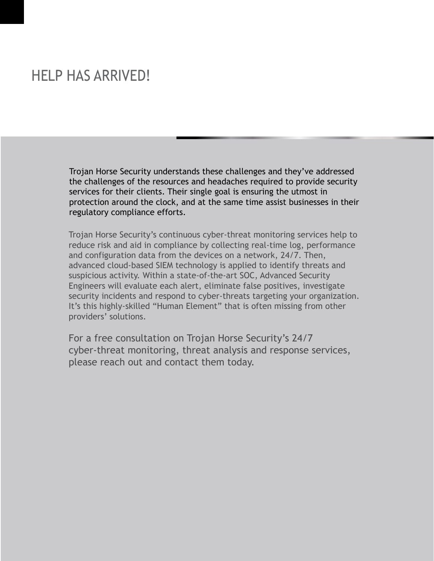#### HELP HAS ARRIVED!

Trojan Horse Security understands these challenges and they've addressed the challenges of the resources and headaches required to provide security services for their clients. Their single goal is ensuring the utmost in protection around the clock, and at the same time assist businesses in their regulatory compliance efforts.

Trojan Horse Security's continuous cyber-threat monitoring services help to reduce risk and aid in compliance by collecting real-time log, performance and configuration data from the devices on a network, 24/7. Then, advanced cloud-based SIEM technology is applied to identify threats and suspicious activity. Within a state-of-the-art SOC, Advanced Security Engineers will evaluate each alert, eliminate false positives, investigate security incidents and respond to cyber-threats targeting your organization. It's this highly-skilled "Human Element" that is often missing from other providers' solutions.

For a free consultation on Trojan Horse Security's 24/7 cyber-threat monitoring, threat analysis and response services, please reach out and contact them today.